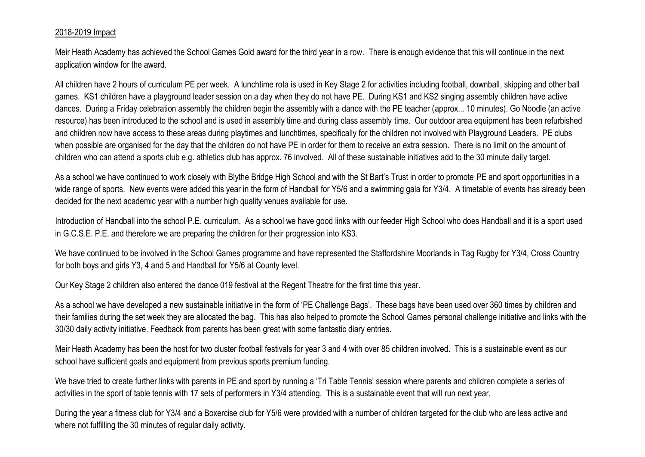## 2018-2019 Impact

Meir Heath Academy has achieved the School Games Gold award for the third year in a row. There is enough evidence that this will continue in the next application window for the award.

All children have 2 hours of curriculum PE per week. A lunchtime rota is used in Key Stage 2 for activities including football, downball, skipping and other ball games. KS1 children have a playground leader session on a day when they do not have PE. During KS1 and KS2 singing assembly children have active dances. During a Friday celebration assembly the children begin the assembly with a dance with the PE teacher (approx... 10 minutes). Go Noodle (an active resource) has been introduced to the school and is used in assembly time and during class assembly time. Our outdoor area equipment has been refurbished and children now have access to these areas during playtimes and lunchtimes, specifically for the children not involved with Playground Leaders. PE clubs when possible are organised for the day that the children do not have PE in order for them to receive an extra session. There is no limit on the amount of children who can attend a sports club e.g. athletics club has approx. 76 involved. All of these sustainable initiatives add to the 30 minute daily target.

As a school we have continued to work closely with Blythe Bridge High School and with the St Bart's Trust in order to promote PE and sport opportunities in a wide range of sports. New events were added this year in the form of Handball for Y5/6 and a swimming gala for Y3/4. A timetable of events has already been decided for the next academic year with a number high quality venues available for use.

Introduction of Handball into the school P.E. curriculum. As a school we have good links with our feeder High School who does Handball and it is a sport used in G.C.S.E. P.E. and therefore we are preparing the children for their progression into KS3.

We have continued to be involved in the School Games programme and have represented the Staffordshire Moorlands in Tag Rugby for Y3/4, Cross Country for both boys and girls Y3, 4 and 5 and Handball for Y5/6 at County level.

Our Key Stage 2 children also entered the dance 019 festival at the Regent Theatre for the first time this year.

As a school we have developed a new sustainable initiative in the form of 'PE Challenge Bags'. These bags have been used over 360 times by children and their families during the set week they are allocated the bag. This has also helped to promote the School Games personal challenge initiative and links with the 30/30 daily activity initiative. Feedback from parents has been great with some fantastic diary entries.

Meir Heath Academy has been the host for two cluster football festivals for year 3 and 4 with over 85 children involved. This is a sustainable event as our school have sufficient goals and equipment from previous sports premium funding.

We have tried to create further links with parents in PE and sport by running a 'Tri Table Tennis' session where parents and children complete a series of activities in the sport of table tennis with 17 sets of performers in Y3/4 attending. This is a sustainable event that will run next year.

During the year a fitness club for Y3/4 and a Boxercise club for Y5/6 were provided with a number of children targeted for the club who are less active and where not fulfilling the 30 minutes of regular daily activity.